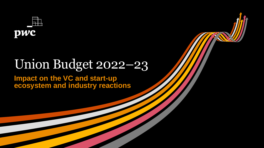

**PwC** Union Budget 2022-23

# Union Budget 2022–23

**Impact on the VC and start-up ecosystem and industry reactions**

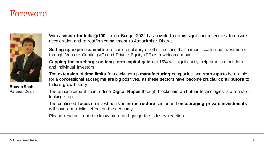### Foreword



**Bhavin Shah,** Partner, Deals With a **vision for India@100**, Union Budget 2022 has unveiled certain significant incentives to ensure acceleration and to reaffirm commitment to Atmanirbhar Bharat.

**Setting up expert committee** to curb regulatory or other frictions that hamper scaling up investments through Venture Capital (VC) and Private Equity (PE) is a welcome move.

**Capping the surcharge on long-term capital gains** at 15% will significantly help start-up founders and individual investors.

The **extension** of **time limits** for newly set-up **manufacturing** companies and **start-ups** to be eligible for a concessional tax regime are big positives, as these sectors have become **crucial contributors** to India's growth story.

The announcement to introduce **Digital Rupee** through blockchain and other technologies is a forwardlooking step.

The continued **focus** on investments in **infrastructure** sector and **encouraging private investments** will have a multiplier effect on the economy.

Please read our report to know more and gauge the industry reaction.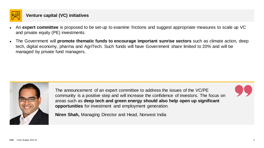

#### **Venture capital (VC) initiatives**

- An **expert committee** is proposed to be set-up to examine frictions and suggest appropriate measures to scale up VC and private equity (PE) investments.
- The Government will **promote thematic funds to encourage important sunrise sectors** such as climate action, deep tech, digital economy, pharma and AgriTech. Such funds will have Government share limited to 20% and will be managed by private fund managers.



The announcement of an expert committee to address the issues of the VC/PE community is a positive step and will increase the confidence of investors. The focus on areas such as **deep tech and green energy should also help open up significant opportunities** for investment and employment generation.

**Niren Shah,** Managing Director and Head, Norwest India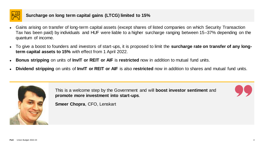

#### **Surcharge on long term capital gains (LTCG) limited to 15%**

- Gains arising on transfer of long-term capital assets (except shares of listed companies on which Security Transaction Tax has been paid) by individuals and HUF were liable to a higher surcharge ranging between 15–37% depending on the quantum of income.
- To give a boost to founders and investors of start-ups, it is proposed to limit the **surcharge rate on transfer of any longterm capital assets to 15%** with effect from 1 April 2022.
- **Bonus stripping** on units of **InvIT** or REIT or AIF is restricted now in addition to mutual fund units.
- **Dividend stripping** on units of **InvIT** or REIT or AIF is also restricted now in addition to shares and mutual fund units.



This is a welcome step by the Government and will **boost investor sentiment** and **promote more investment into start-ups**.



**Smeer Chopra**, CFO, Lenskart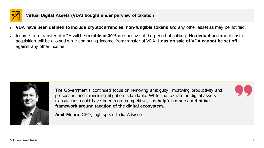

- **VDA have been defined to include cryptocurrencies, non-fungible tokens** and any other asset as may be notified.
- Income from transfer of VDA will be **taxable at 30%** irrespective of the period of holding. **No deduction** except cost of acquisition will be allowed while computing income from transfer of VDA. **Loss on sale of VDA cannot be set off** against any other income.



The Government's continued focus on removing ambiguity, improving productivity and processes. and minimising litigation is laudable. While the tax rate on digital assets transactions could have been more competitive, it is **helpful to see a definitive framework around taxation of the digital ecosystem**.

**Amit Mehra**, CFO, Lightspeed India Advisors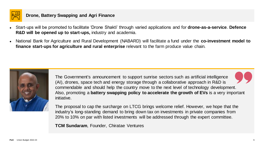

#### **Drone, Battery Swapping and Agri Finance**

- Start-ups will be promoted to facilitate 'Drone Shakti' through varied applications and for **drone-as-a-service**. **Defence R&D will be opened up to start-ups,** industry and academia.
- National Bank for Agriculture and Rural Development (NABARD) will facilitate a fund under the **co-investment model to finance start-ups for agriculture and rural enterprise** relevant to the farm produce value chain.



The Government's announcement to support sunrise sectors such as artificial intelligence (AI), drones, space tech and energy storage through a collaborative approach in R&D is commendable and should help the country move to the next level of technology development. Also, promoting a **battery swapping policy to accelerate the growth of EVs** is a very important initiative.

The proposal to cap the surcharge on LTCG brings welcome relief. However, we hope that the industry's long-standing demand to bring down tax on investments in private companies from 20% to 10% on par with listed investments will be addressed through the expert committee.

**TCM Sundaram**, Founder, Chiratae Ventures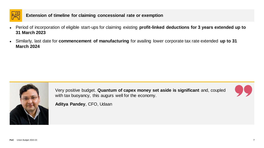

#### **Extension of timeline for claiming concessional rate or exemption**

- Period of incorporation of eligible start-ups for claiming existing **profit-linked deductions for 3 years extended up to 31 March 2023**
- Similarly, last date for **commencement of manufacturing** for availing lower corporate tax rate extended **up to 31 March 2024**



Very positive budget. **Quantum of capex money set aside is significant** and, coupled with tax buoyancy, this augurs well for the economy.



**Aditya Pandey**, CFO, Udaan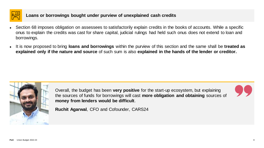

#### **Loans or borrowings bought under purview of unexplained cash credits**

- Section 68 imposes obligation on assessees to satisfactorily explain credits in the books of accounts. While a specific onus to explain the credits was cast for share capital, judicial rulings had held such onus does not extend to loan and borrowings.
- It is now proposed to bring **loans and borrowings** within the purview of this section and the same shall be **treated as explained only if the nature and source** of such sum is also **explained in the hands of the lender or creditor.**



Overall, the budget has been **very positive** for the start-up ecosystem, but explaining the sources of funds for borrowings will cast **more obligation and obtaining** sources of **money from lenders would be difficult**.



**Ruchit Agarwal**, CFO and Cofounder, CARS24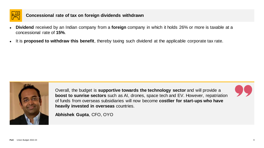

#### **Concessional rate of tax on foreign dividends withdrawn**

- **Dividend** received by an Indian company from a **foreign** company in which it holds 26% or more is taxable at a concessional rate of **15%**.
- It is **proposed to withdraw this benefit**, thereby taxing such dividend at the applicable corporate tax rate.



Overall, the budget is **supportive towards the technology sector** and will provide a **boost to sunrise sectors** such as AI, drones, space tech and EV. However, repatriation of funds from overseas subsidiaries will now become **costlier for start-ups who have heavily invested in overseas** countries.

**Abhishek Gupta**, CFO, OYO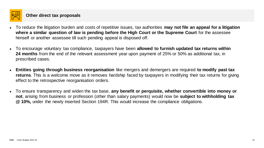

- To reduce the litigation burden and costs of repetitive issues, tax authorities **may not file an appeal for a litigation where a similar question of law is pending before the High Court or the Supreme Court** for the assessee himself or another assessee till such pending appeal is disposed off.
- To encourage voluntary tax compliance, taxpayers have been **allowed to furnish updated tax returns within 24 months** from the end of the relevant assessment year upon payment of 25% or 50% as additional tax, in prescribed cases.
- **Entities going through business reorganisation** like mergers and demergers are required **to modify past tax returns**. This is a welcome move as it removes hardship faced by taxpayers in modifying their tax returns for giving effect to the retrospective reorganisation orders.
- To ensure transparency and widen the tax base, **any benefit or perquisite, whether convertible into money or not**, arising from business or profession (other than salary payments) would now be **subject to withholding tax @ 10%,** under the newly inserted Section 194R. This would increase the compliance obligations.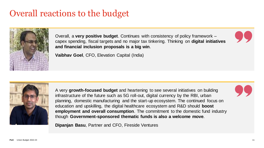

Overall, a **very positive budget**. Continues with consistency of policy framework – capex spending, fiscal targets and no major tax tinkering. Thinking on **digital initiatives and financial inclusion proposals is a big win**.

**Vaibhav Goel**, CFO, Elevation Capital (India)



A very **growth-focused budget** and heartening to see several initiatives on building infrastructure of the future such as 5G roll-out, digital currency by the RBI, urban planning, domestic manufacturing and the start-up ecosystem. The continued focus on education and upskilling, the digital healthcare ecosystem and R&D should **boost employment and overall consumption**. The commitment to the domestic fund industry though **Government-sponsored thematic funds is also a welcome move**.

**Dipanjan Basu**, Partner and CFO, Fireside Ventures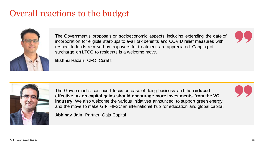

The Government's proposals on socioeconomic aspects, including extending the date of incorporation for eligible start-ups to avail tax benefits and COVID relief measures with respect to funds received by taxpayers for treatment, are appreciated. Capping of surcharge on LTCG to residents is a welcome move.

**Bishnu Hazari**, CFO, Curefit



The Government's continued focus on ease of doing business and the **reduced effective tax on capital gains should encourage more investments from the VC industry**. We also welcome the various initiatives announced to support green energy and the move to make GIFT-IFSC an international hub for education and global capital.

**Abhinav Jain**, Partner, Gaja Capital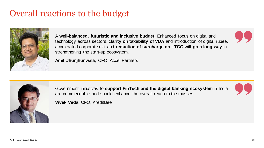

A **well-balanced, futuristic and inclusive budget**! Enhanced focus on digital and technology across sectors, **clarity on taxability of VDA** and introduction of digital rupee, accelerated corporate exit and **reduction of surcharge on LTCG will go a long way** in strengthening the start-up ecosystem.

**Amit Jhunjhunwala**, CFO, Accel Partners



Government initiatives to **support FinTech and the digital banking ecosystem** in India are commendable and should enhance the overall reach to the masses.

**Vivek Veda**, CFO, KreditBee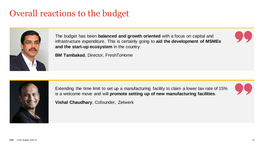

The budget has been **balanced and growth oriented** with a focus on capital and infrastructure expenditure. This is certainly going to **aid the development of MSMEs and the start-up ecosystem** in the country.

**BM Tambakad**, Director, FreshToHome



Extending the time limit to set up a manufacturing facility to claim a lower tax rate of 15% is a welcome move and will **promote setting up of new manufacturing facilities**.



**Vishal Chaudhary**, Cofounder, Zetwerk